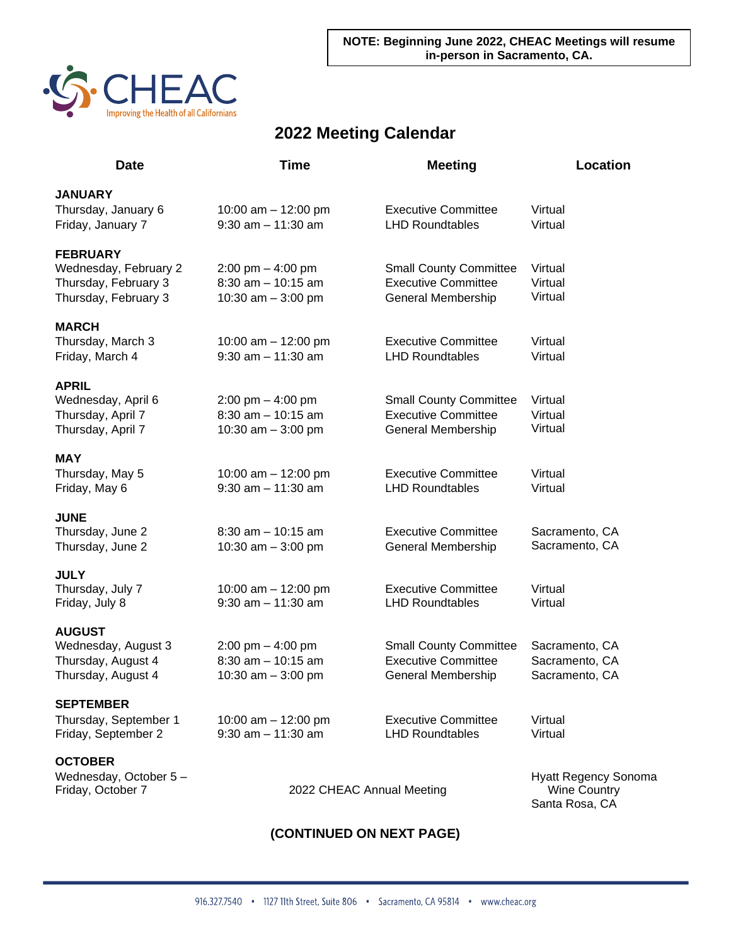

## **2022 Meeting Calendar**

| <b>Date</b>           | <b>Time</b>                         | <b>Meeting</b>                | <b>Location</b>             |
|-----------------------|-------------------------------------|-------------------------------|-----------------------------|
| <b>JANUARY</b>        |                                     |                               |                             |
| Thursday, January 6   | 10:00 am $-$ 12:00 pm               | <b>Executive Committee</b>    | Virtual                     |
| Friday, January 7     | $9:30$ am $-11:30$ am               | <b>LHD Roundtables</b>        | Virtual                     |
| <b>FEBRUARY</b>       |                                     |                               |                             |
| Wednesday, February 2 | $2:00 \text{ pm} - 4:00 \text{ pm}$ | <b>Small County Committee</b> | Virtual                     |
| Thursday, February 3  | $8:30$ am $-10:15$ am               | <b>Executive Committee</b>    | Virtual                     |
| Thursday, February 3  | 10:30 am $-$ 3:00 pm                | <b>General Membership</b>     | Virtual                     |
| <b>MARCH</b>          |                                     |                               |                             |
| Thursday, March 3     | 10:00 am $-$ 12:00 pm               | <b>Executive Committee</b>    | Virtual                     |
| Friday, March 4       | $9:30$ am $-11:30$ am               | <b>LHD Roundtables</b>        | Virtual                     |
| <b>APRIL</b>          |                                     |                               |                             |
| Wednesday, April 6    | $2:00 \text{ pm} - 4:00 \text{ pm}$ | <b>Small County Committee</b> | Virtual                     |
| Thursday, April 7     | $8:30$ am $-10:15$ am               | <b>Executive Committee</b>    | Virtual                     |
| Thursday, April 7     | 10:30 am $-$ 3:00 pm                | General Membership            | Virtual                     |
| <b>MAY</b>            |                                     |                               |                             |
| Thursday, May 5       | 10:00 am $-$ 12:00 pm               | <b>Executive Committee</b>    | Virtual                     |
| Friday, May 6         | $9:30$ am $-11:30$ am               | <b>LHD Roundtables</b>        | Virtual                     |
| <b>JUNE</b>           |                                     |                               |                             |
| Thursday, June 2      | $8:30$ am $-10:15$ am               | <b>Executive Committee</b>    | Sacramento, CA              |
| Thursday, June 2      | 10:30 am $-$ 3:00 pm                | General Membership            | Sacramento, CA              |
| <b>JULY</b>           |                                     |                               |                             |
| Thursday, July 7      | 10:00 am $-$ 12:00 pm               | <b>Executive Committee</b>    | Virtual                     |
| Friday, July 8        | $9:30$ am $-11:30$ am               | <b>LHD Roundtables</b>        | Virtual                     |
| <b>AUGUST</b>         |                                     |                               |                             |
| Wednesday, August 3   | $2:00 \text{ pm} - 4:00 \text{ pm}$ | <b>Small County Committee</b> | Sacramento, CA              |
| Thursday, August 4    | $8:30$ am $-10:15$ am               | <b>Executive Committee</b>    | Sacramento, CA              |
| Thursday, August 4    | 10:30 am $-$ 3:00 pm                | General Membership            | Sacramento, CA              |
| <b>SEPTEMBER</b>      |                                     |                               |                             |
| Thursday, September 1 | 10:00 am $-$ 12:00 pm               | <b>Executive Committee</b>    | Virtual                     |
| Friday, September 2   | $9:30$ am $-11:30$ am               | <b>LHD Roundtables</b>        | Virtual                     |
| <b>OCTOBER</b>        |                                     |                               |                             |
| Wednesday, October 5- |                                     |                               | <b>Hyatt Regency Sonoma</b> |
| Friday, October 7     |                                     | 2022 CHEAC Annual Meeting     | <b>Wine Country</b>         |
|                       |                                     |                               | Santa Rosa, CA              |

## **(CONTINUED ON NEXT PAGE)**